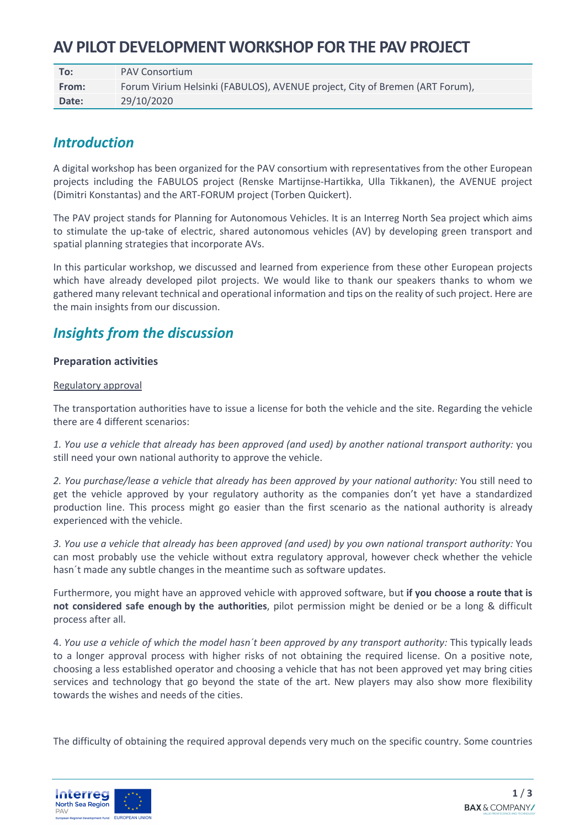# **AV PILOT DEVELOPMENT WORKSHOP FOR THE PAV PROJECT**

| To:   | <b>PAV Consortium</b>                                                        |
|-------|------------------------------------------------------------------------------|
| From: | Forum Virium Helsinki (FABULOS), AVENUE project, City of Bremen (ART Forum), |
| Date: | 29/10/2020                                                                   |

## *Introduction*

A digital workshop has been organized for the PAV consortium with representatives from the other European projects including the FABULOS project (Renske Martijnse-Hartikka, Ulla Tikkanen), the AVENUE project (Dimitri Konstantas) and the ART-FORUM project (Torben Quickert).

The PAV project stands for Planning for Autonomous Vehicles. It is an Interreg North Sea project which aims to stimulate the up-take of electric, shared autonomous vehicles (AV) by developing green transport and spatial planning strategies that incorporate AVs.

In this particular workshop, we discussed and learned from experience from these other European projects which have already developed pilot projects. We would like to thank our speakers thanks to whom we gathered many relevant technical and operational information and tips on the reality of such project. Here are the main insights from our discussion.

## *Insights from the discussion*

## **Preparation activities**

## Regulatory approval

The transportation authorities have to issue a license for both the vehicle and the site. Regarding the vehicle there are 4 different scenarios:

*1. You use a vehicle that already has been approved (and used) by another national transport authority:* you still need your own national authority to approve the vehicle.

*2. You purchase/lease a vehicle that already has been approved by your national authority:* You still need to get the vehicle approved by your regulatory authority as the companies don't yet have a standardized production line. This process might go easier than the first scenario as the national authority is already experienced with the vehicle.

*3. You use a vehicle that already has been approved (and used) by you own national transport authority:* You can most probably use the vehicle without extra regulatory approval, however check whether the vehicle hasn´t made any subtle changes in the meantime such as software updates.

Furthermore, you might have an approved vehicle with approved software, but **if you choose a route that is not considered safe enough by the authorities**, pilot permission might be denied or be a long & difficult process after all.

4. *You use a vehicle of which the model hasn´t been approved by any transport authority:* This typically leads to a longer approval process with higher risks of not obtaining the required license. On a positive note, choosing a less established operator and choosing a vehicle that has not been approved yet may bring cities services and technology that go beyond the state of the art. New players may also show more flexibility towards the wishes and needs of the cities.

The difficulty of obtaining the required approval depends very much on the specific country. Some countries

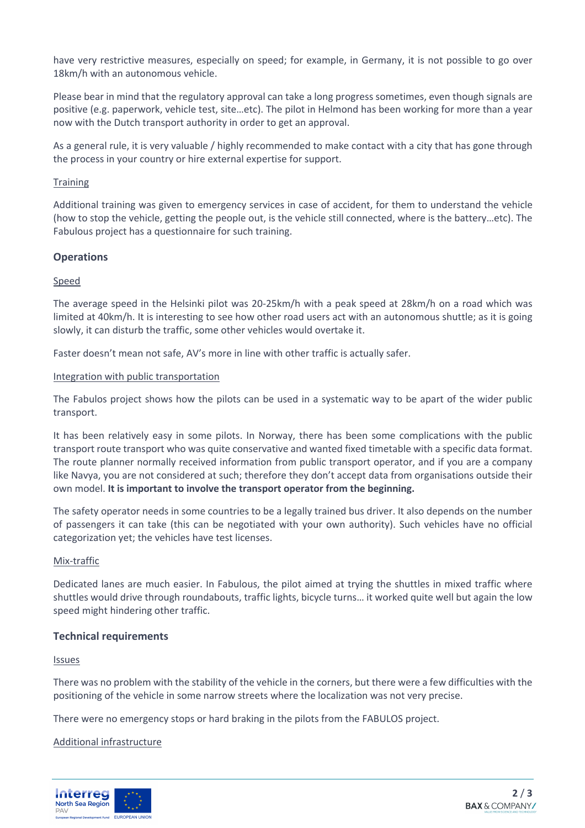have very restrictive measures, especially on speed; for example, in Germany, it is not possible to go over 18km/h with an autonomous vehicle.

Please bear in mind that the regulatory approval can take a long progress sometimes, even though signals are positive (e.g. paperwork, vehicle test, site…etc). The pilot in Helmond has been working for more than a year now with the Dutch transport authority in order to get an approval.

As a general rule, it is very valuable / highly recommended to make contact with a city that has gone through the process in your country or hire external expertise for support.

#### **Training**

Additional training was given to emergency services in case of accident, for them to understand the vehicle (how to stop the vehicle, getting the people out, is the vehicle still connected, where is the battery…etc). The Fabulous project has a questionnaire for such training.

## **Operations**

#### Speed

The average speed in the Helsinki pilot was 20-25km/h with a peak speed at 28km/h on a road which was limited at 40km/h. It is interesting to see how other road users act with an autonomous shuttle; as it is going slowly, it can disturb the traffic, some other vehicles would overtake it.

Faster doesn't mean not safe, AV's more in line with other traffic is actually safer.

#### Integration with public transportation

The Fabulos project shows how the pilots can be used in a systematic way to be apart of the wider public transport.

It has been relatively easy in some pilots. In Norway, there has been some complications with the public transport route transport who was quite conservative and wanted fixed timetable with a specific data format. The route planner normally received information from public transport operator, and if you are a company like Navya, you are not considered at such; therefore they don't accept data from organisations outside their own model. **It is important to involve the transport operator from the beginning.** 

The safety operator needs in some countries to be a legally trained bus driver. It also depends on the number of passengers it can take (this can be negotiated with your own authority). Such vehicles have no official categorization yet; the vehicles have test licenses.

#### Mix-traffic

Dedicated lanes are much easier. In Fabulous, the pilot aimed at trying the shuttles in mixed traffic where shuttles would drive through roundabouts, traffic lights, bicycle turns… it worked quite well but again the low speed might hindering other traffic.

#### **Technical requirements**

#### Issues

There was no problem with the stability of the vehicle in the corners, but there were a few difficulties with the positioning of the vehicle in some narrow streets where the localization was not very precise.

There were no emergency stops or hard braking in the pilots from the FABULOS project.

#### Additional infrastructure